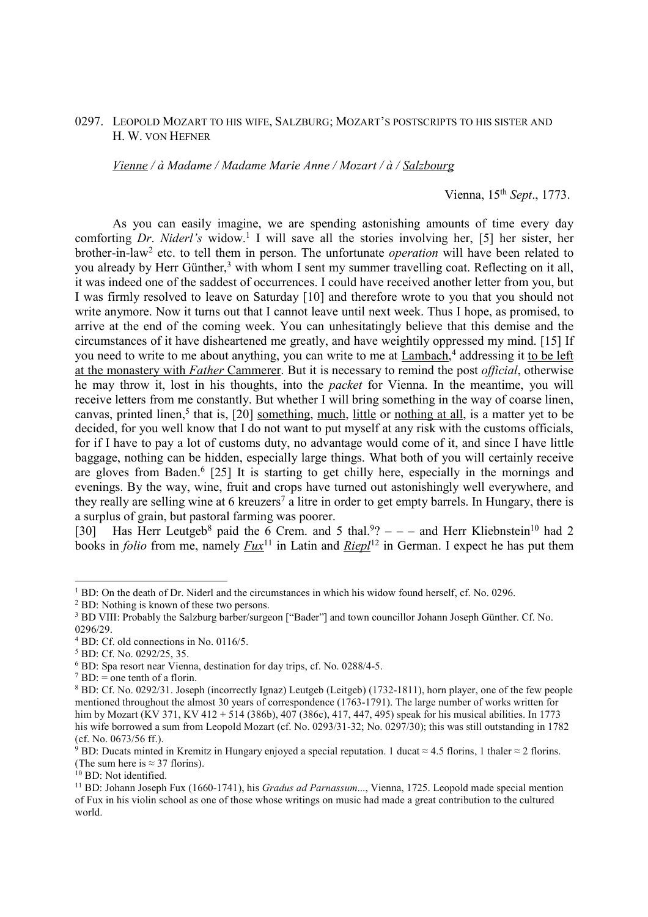## 0297. LEOPOLD MOZART TO HIS WIFE, SALZBURG; MOZART'S POSTSCRIPTS TO HIS SISTER AND H. W. VON HEFNER

*Vienne / à Madame / Madame Marie Anne / Mozart / à / Salzbourg* 

Vienna, 15th *Sept*., 1773.

 As you can easily imagine, we are spending astonishing amounts of time every day comforting *Dr. Niderl's* widow.<sup>1</sup> I will save all the stories involving her, [5] her sister, her brother-in-law<sup>2</sup> etc. to tell them in person. The unfortunate *operation* will have been related to you already by Herr Günther,<sup>3</sup> with whom I sent my summer travelling coat. Reflecting on it all, it was indeed one of the saddest of occurrences. I could have received another letter from you, but I was firmly resolved to leave on Saturday [10] and therefore wrote to you that you should not write anymore. Now it turns out that I cannot leave until next week. Thus I hope, as promised, to arrive at the end of the coming week. You can unhesitatingly believe that this demise and the circumstances of it have disheartened me greatly, and have weightily oppressed my mind. [15] If you need to write to me about anything, you can write to me at Lambach,<sup>4</sup> addressing it to be left at the monastery with *Father* Cammerer. But it is necessary to remind the post *official*, otherwise he may throw it, lost in his thoughts, into the *packet* for Vienna. In the meantime, you will receive letters from me constantly. But whether I will bring something in the way of coarse linen, canvas, printed linen,<sup>5</sup> that is, [20] something, much, little or nothing at all, is a matter yet to be decided, for you well know that I do not want to put myself at any risk with the customs officials, for if I have to pay a lot of customs duty, no advantage would come of it, and since I have little baggage, nothing can be hidden, especially large things. What both of you will certainly receive are gloves from Baden.<sup>6</sup> [25] It is starting to get chilly here, especially in the mornings and evenings. By the way, wine, fruit and crops have turned out astonishingly well everywhere, and they really are selling wine at 6 kreuzers<sup>7</sup> a litre in order to get empty barrels. In Hungary, there is a surplus of grain, but pastoral farming was poorer.

[30] Has Herr Leutgeb<sup>8</sup> paid the 6 Crem. and 5 thal.<sup>9</sup>?  $-$  - and Herr Kliebnstein<sup>10</sup> had 2 books in *folio* from me, namely  $Fux^{11}$  in Latin and  $Riepl^{12}$  in German. I expect he has put them

<sup>1</sup> BD: On the death of Dr. Niderl and the circumstances in which his widow found herself, cf. No. 0296.

<sup>&</sup>lt;sup>2</sup> BD: Nothing is known of these two persons.

<sup>&</sup>lt;sup>3</sup> BD VIII: Probably the Salzburg barber/surgeon ["Bader"] and town councillor Johann Joseph Günther. Cf. No. 0296/29.

<sup>4</sup> BD: Cf. old connections in No. 0116/5.

<sup>5</sup> BD: Cf. No. 0292/25, 35.

<sup>6</sup> BD: Spa resort near Vienna, destination for day trips, cf. No. 0288/4-5.

 $7$  BD: = one tenth of a florin.

<sup>8</sup> BD: Cf. No. 0292/31. Joseph (incorrectly Ignaz) Leutgeb (Leitgeb) (1732-1811), horn player, one of the few people mentioned throughout the almost 30 years of correspondence (1763-1791). The large number of works written for him by Mozart (KV 371, KV 412 + 514 (386b), 407 (386c), 417, 447, 495) speak for his musical abilities. In 1773 his wife borrowed a sum from Leopold Mozart (cf. No. 0293/31-32; No. 0297/30); this was still outstanding in 1782 (cf. No. 0673/56 ff.).

<sup>&</sup>lt;sup>9</sup> BD: Ducats minted in Kremitz in Hungary enjoyed a special reputation. 1 ducat ≈ 4.5 florins, 1 thaler ≈ 2 florins. (The sum here is  $\approx$  37 florins).

<sup>&</sup>lt;sup>10</sup> BD: Not identified.

<sup>11</sup> BD: Johann Joseph Fux (1660-1741), his *Gradus ad Parnassum*..., Vienna, 1725. Leopold made special mention of Fux in his violin school as one of those whose writings on music had made a great contribution to the cultured world.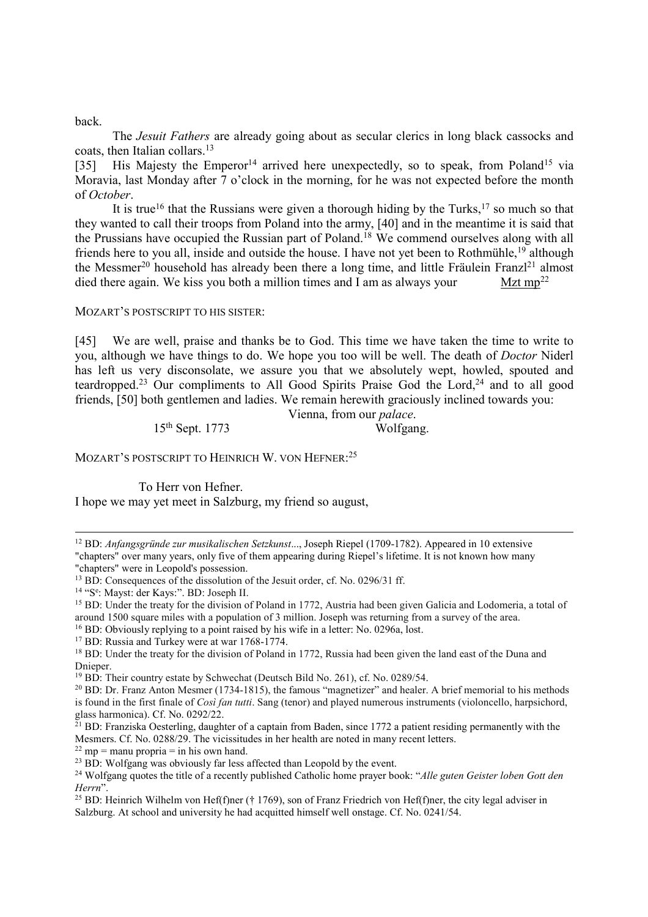back.

 The *Jesuit Fathers* are already going about as secular clerics in long black cassocks and coats, then Italian collars.<sup>13</sup>

[35] His Majesty the Emperor<sup>14</sup> arrived here unexpectedly, so to speak, from Poland<sup>15</sup> via Moravia, last Monday after 7 o'clock in the morning, for he was not expected before the month of *October*.

It is true<sup>16</sup> that the Russians were given a thorough hiding by the Turks,<sup>17</sup> so much so that they wanted to call their troops from Poland into the army, [40] and in the meantime it is said that the Prussians have occupied the Russian part of Poland.<sup>18</sup> We commend ourselves along with all friends here to you all, inside and outside the house. I have not yet been to Rothmühle,<sup>19</sup> although the Messmer<sup>20</sup> household has already been there a long time, and little Fräulein Franzl<sup>21</sup> almost died there again. We kiss you both a million times and I am as always your Mzt mp<sup>22</sup>

MOZART'S POSTSCRIPT TO HIS SISTER:

[45] We are well, praise and thanks be to God. This time we have taken the time to write to you, although we have things to do. We hope you too will be well. The death of *Doctor* Niderl has left us very disconsolate, we assure you that we absolutely wept, howled, spouted and teardropped.<sup>23</sup> Our compliments to All Good Spirits Praise God the Lord.<sup>24</sup> and to all good friends, [50] both gentlemen and ladies. We remain herewith graciously inclined towards you:

Vienna, from our *palace*.

 $15<sup>th</sup>$  Sept. 1773 Wolfgang.

MOZART'S POSTSCRIPT TO HEINRICH W. VON HEFNER:<sup>25</sup>

To Herr von Hefner.

I hope we may yet meet in Salzburg, my friend so august,

"chapters" over many years, only five of them appearing during Riepel's lifetime. It is not known how many "chapters" were in Leopold's possession.

<sup>16</sup> BD: Obviously replying to a point raised by his wife in a letter: No. 0296a, lost.

<sup>22</sup> mp = manu propria = in his own hand.

l <sup>12</sup> BD: *Anfangsgründe zur musikalischen Setzkunst*..., Joseph Riepel (1709-1782). Appeared in 10 extensive

 $13$  BD: Consequences of the dissolution of the Jesuit order, cf. No. 0296/31 ff.

<sup>&</sup>lt;sup>14</sup> "S<sup>e</sup>: Mayst: der Kays:". BD: Joseph II.

<sup>&</sup>lt;sup>15</sup> BD: Under the treaty for the division of Poland in 1772, Austria had been given Galicia and Lodomeria, a total of around 1500 square miles with a population of 3 million. Joseph was returning from a survey of the area.

<sup>&</sup>lt;sup>17</sup> BD: Russia and Turkey were at war 1768-1774.

<sup>&</sup>lt;sup>18</sup> BD: Under the treaty for the division of Poland in 1772, Russia had been given the land east of the Duna and Dnieper.

<sup>&</sup>lt;sup>19</sup> BD: Their country estate by Schwechat (Deutsch Bild No. 261), cf. No. 0289/54.

<sup>&</sup>lt;sup>20</sup> BD: Dr. Franz Anton Mesmer (1734-1815), the famous "magnetizer" and healer. A brief memorial to his methods is found in the first finale of *Così fan tutti*. Sang (tenor) and played numerous instruments (violoncello, harpsichord, glass harmonica). Cf. No. 0292/22.

 $21$  BD: Franziska Oesterling, daughter of a captain from Baden, since 1772 a patient residing permanently with the Mesmers. Cf. No. 0288/29. The vicissitudes in her health are noted in many recent letters.

 $^{23}$  BD: Wolfgang was obviously far less affected than Leopold by the event.

<sup>24</sup> Wolfgang quotes the title of a recently published Catholic home prayer book: "*Alle guten Geister loben Gott den Herrn*".

<sup>&</sup>lt;sup>25</sup> BD: Heinrich Wilhelm von Hef(f)ner († 1769), son of Franz Friedrich von Hef(f)ner, the city legal adviser in Salzburg. At school and university he had acquitted himself well onstage. Cf. No. 0241/54.